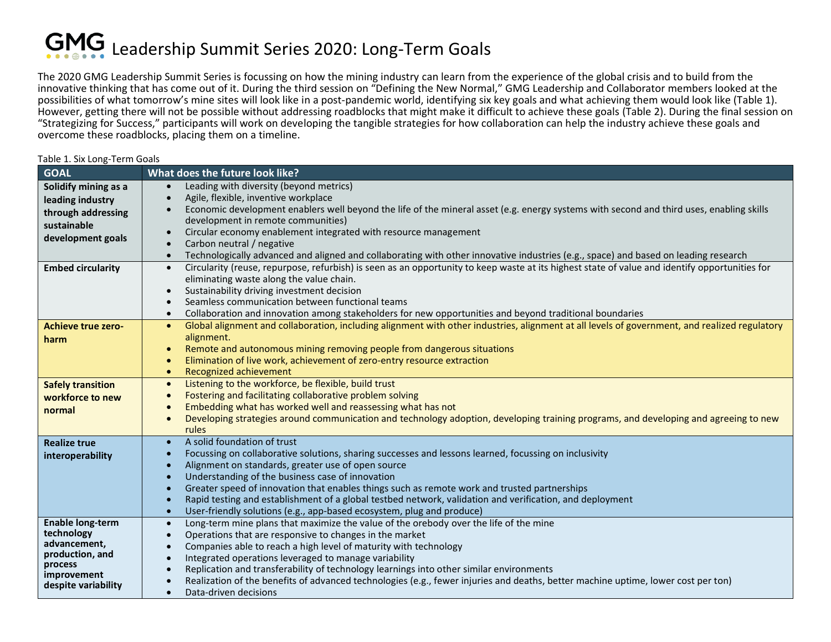## GMG Leadership Summit Series 2020: Long-Term Goals

Table 1. Six Long-Term Goals

The 2020 GMG Leadership Summit Series is focussing on how the mining industry can learn from the experience of the global crisis and to build from the innovative thinking that has come out of it. During the third session on "Defining the New Normal," GMG Leadership and Collaborator members looked at the possibilities of what tomorrow's mine sites will look like in a post-pandemic world, identifying six key goals and what achieving them would look like (Table 1). However, getting there will not be possible without addressing roadblocks that might make it difficult to achieve these goals (Table 2). During the final session on "Strategizing for Success," participants will work on developing the tangible strategies for how collaboration can help the industry achieve these goals and overcome these roadblocks, placing them on a timeline.

| <b>GOAL</b>               | What does the future look like?                                                                                                                                                                                                                                                                                 |  |  |
|---------------------------|-----------------------------------------------------------------------------------------------------------------------------------------------------------------------------------------------------------------------------------------------------------------------------------------------------------------|--|--|
| Solidify mining as a      | Leading with diversity (beyond metrics)<br>$\bullet$                                                                                                                                                                                                                                                            |  |  |
| leading industry          | Agile, flexible, inventive workplace<br>$\bullet$                                                                                                                                                                                                                                                               |  |  |
| through addressing        | Economic development enablers well beyond the life of the mineral asset (e.g. energy systems with second and third uses, enabling skills<br>$\bullet$<br>development in remote communities)                                                                                                                     |  |  |
| sustainable               |                                                                                                                                                                                                                                                                                                                 |  |  |
| development goals         | Circular economy enablement integrated with resource management<br>$\bullet$                                                                                                                                                                                                                                    |  |  |
|                           | Carbon neutral / negative                                                                                                                                                                                                                                                                                       |  |  |
|                           | Technologically advanced and aligned and collaborating with other innovative industries (e.g., space) and based on leading research<br>$\bullet$<br>Circularity (reuse, repurpose, refurbish) is seen as an opportunity to keep waste at its highest state of value and identify opportunities for<br>$\bullet$ |  |  |
| <b>Embed circularity</b>  | eliminating waste along the value chain.                                                                                                                                                                                                                                                                        |  |  |
|                           | Sustainability driving investment decision<br>$\bullet$                                                                                                                                                                                                                                                         |  |  |
|                           | Seamless communication between functional teams                                                                                                                                                                                                                                                                 |  |  |
|                           | Collaboration and innovation among stakeholders for new opportunities and beyond traditional boundaries<br>$\bullet$                                                                                                                                                                                            |  |  |
| <b>Achieve true zero-</b> | Global alignment and collaboration, including alignment with other industries, alignment at all levels of government, and realized regulatory<br>$\bullet$                                                                                                                                                      |  |  |
| harm                      | alignment.                                                                                                                                                                                                                                                                                                      |  |  |
|                           | Remote and autonomous mining removing people from dangerous situations<br>$\bullet$                                                                                                                                                                                                                             |  |  |
|                           | Elimination of live work, achievement of zero-entry resource extraction<br>$\bullet$                                                                                                                                                                                                                            |  |  |
|                           | Recognized achievement<br>$\bullet$                                                                                                                                                                                                                                                                             |  |  |
| <b>Safely transition</b>  | Listening to the workforce, be flexible, build trust<br>$\bullet$                                                                                                                                                                                                                                               |  |  |
| workforce to new          | Fostering and facilitating collaborative problem solving<br>$\bullet$                                                                                                                                                                                                                                           |  |  |
| normal                    | Embedding what has worked well and reassessing what has not<br>$\bullet$                                                                                                                                                                                                                                        |  |  |
|                           | Developing strategies around communication and technology adoption, developing training programs, and developing and agreeing to new<br>$\bullet$                                                                                                                                                               |  |  |
|                           | rules                                                                                                                                                                                                                                                                                                           |  |  |
| <b>Realize true</b>       | A solid foundation of trust<br>$\bullet$<br>Focussing on collaborative solutions, sharing successes and lessons learned, focussing on inclusivity                                                                                                                                                               |  |  |
| interoperability          | $\bullet$<br>Alignment on standards, greater use of open source                                                                                                                                                                                                                                                 |  |  |
|                           | Understanding of the business case of innovation<br>$\bullet$                                                                                                                                                                                                                                                   |  |  |
|                           | Greater speed of innovation that enables things such as remote work and trusted partnerships<br>$\bullet$                                                                                                                                                                                                       |  |  |
|                           | Rapid testing and establishment of a global testbed network, validation and verification, and deployment<br>$\bullet$                                                                                                                                                                                           |  |  |
|                           | User-friendly solutions (e.g., app-based ecosystem, plug and produce)<br>$\bullet$                                                                                                                                                                                                                              |  |  |
| <b>Enable long-term</b>   | Long-term mine plans that maximize the value of the orebody over the life of the mine<br>$\bullet$                                                                                                                                                                                                              |  |  |
| technology                | Operations that are responsive to changes in the market<br>$\bullet$                                                                                                                                                                                                                                            |  |  |
| advancement,              | Companies able to reach a high level of maturity with technology<br>Integrated operations leveraged to manage variability<br>$\bullet$                                                                                                                                                                          |  |  |
| production, and           |                                                                                                                                                                                                                                                                                                                 |  |  |
| process<br>improvement    | Replication and transferability of technology learnings into other similar environments<br>$\bullet$                                                                                                                                                                                                            |  |  |
| despite variability       | Realization of the benefits of advanced technologies (e.g., fewer injuries and deaths, better machine uptime, lower cost per ton)                                                                                                                                                                               |  |  |
|                           | Data-driven decisions<br>$\bullet$                                                                                                                                                                                                                                                                              |  |  |